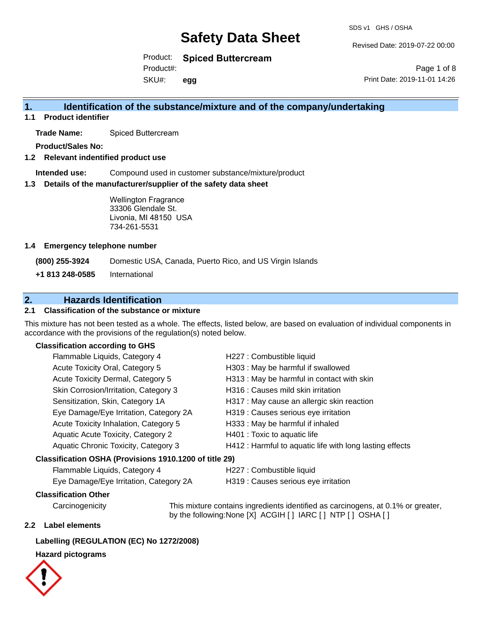Revised Date: 2019-07-22 00:00

Print Date: 2019-11-01 14:26

Page 1 of 8

Product: **Spiced Buttercream**

Product#:

SKU#: **egg**

## **1. Identification of the substance/mixture and of the company/undertaking**

**1.1 Product identifier**

**Trade Name:** Spiced Buttercream

**Product/Sales No:**

**1.2 Relevant indentified product use**

**Intended use:** Compound used in customer substance/mixture/product

**1.3 Details of the manufacturer/supplier of the safety data sheet**

Wellington Fragrance 33306 Glendale St. Livonia, MI 48150 USA 734-261-5531

### **1.4 Emergency telephone number**

**(800) 255-3924** Domestic USA, Canada, Puerto Rico, and US Virgin Islands

**+1 813 248-0585** International

## **2. Hazards Identification**

### **2.1 Classification of the substance or mixture**

This mixture has not been tested as a whole. The effects, listed below, are based on evaluation of individual components in accordance with the provisions of the regulation(s) noted below.

### **Classification according to GHS**

| Flammable Liquids, Category 4                          | H227 : Combustible liquid                                |
|--------------------------------------------------------|----------------------------------------------------------|
| Acute Toxicity Oral, Category 5                        | H303 : May be harmful if swallowed                       |
| Acute Toxicity Dermal, Category 5                      | H313 : May be harmful in contact with skin               |
| Skin Corrosion/Irritation, Category 3                  | H316 : Causes mild skin irritation                       |
| Sensitization, Skin, Category 1A                       | H317 : May cause an allergic skin reaction               |
| Eye Damage/Eye Irritation, Category 2A                 | H319 : Causes serious eye irritation                     |
| Acute Toxicity Inhalation, Category 5                  | H333: May be harmful if inhaled                          |
| Aquatic Acute Toxicity, Category 2                     | H401 : Toxic to aquatic life                             |
| Aquatic Chronic Toxicity, Category 3                   | H412 : Harmful to aquatic life with long lasting effects |
| Classification OSHA (Provisions 1910.1200 of title 29) |                                                          |
| Flammable Liquids, Category 4                          | H227 : Combustible liquid                                |

Eye Damage/Eye Irritation, Category 2A H319 : Causes serious eye irritation

### **Classification Other**

Carcinogenicity This mixture contains ingredients identified as carcinogens, at 0.1% or greater, by the following:None [X] ACGIH [ ] IARC [ ] NTP [ ] OSHA [ ]

### **2.2 Label elements**

### **Labelling (REGULATION (EC) No 1272/2008)**

### **Hazard pictograms**

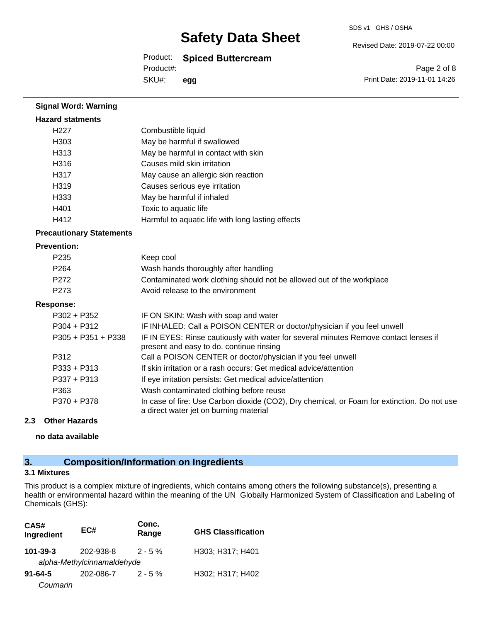SDS v1 GHS / OSHA

### Product: **Spiced Buttercream**

Product#:

SKU#: **egg** Revised Date: 2019-07-22 00:00

Page 2 of 8 Print Date: 2019-11-01 14:26

| <b>Hazard statments</b>         |                                                                                                                                       |
|---------------------------------|---------------------------------------------------------------------------------------------------------------------------------------|
| H <sub>227</sub>                | Combustible liquid                                                                                                                    |
| H <sub>303</sub>                | May be harmful if swallowed                                                                                                           |
| H313                            | May be harmful in contact with skin                                                                                                   |
| H316                            | Causes mild skin irritation                                                                                                           |
| H317                            | May cause an allergic skin reaction                                                                                                   |
| H319                            | Causes serious eye irritation                                                                                                         |
| H333                            | May be harmful if inhaled                                                                                                             |
| H401                            | Toxic to aquatic life                                                                                                                 |
| H412                            | Harmful to aquatic life with long lasting effects                                                                                     |
| <b>Precautionary Statements</b> |                                                                                                                                       |
| <b>Prevention:</b>              |                                                                                                                                       |
| P <sub>235</sub>                | Keep cool                                                                                                                             |
| P264                            | Wash hands thoroughly after handling                                                                                                  |
| P272                            | Contaminated work clothing should not be allowed out of the workplace                                                                 |
| P <sub>273</sub>                | Avoid release to the environment                                                                                                      |
| <b>Response:</b>                |                                                                                                                                       |
| $P302 + P352$                   | IF ON SKIN: Wash with soap and water                                                                                                  |
| $P304 + P312$                   | IF INHALED: Call a POISON CENTER or doctor/physician if you feel unwell                                                               |
| $P305 + P351 + P338$            | IF IN EYES: Rinse cautiously with water for several minutes Remove contact lenses if<br>present and easy to do. continue rinsing      |
| P312                            | Call a POISON CENTER or doctor/physician if you feel unwell                                                                           |
| $P333 + P313$                   | If skin irritation or a rash occurs: Get medical advice/attention                                                                     |
| $P337 + P313$                   | If eye irritation persists: Get medical advice/attention                                                                              |
| P363                            | Wash contaminated clothing before reuse                                                                                               |
| P370 + P378                     | In case of fire: Use Carbon dioxide (CO2), Dry chemical, or Foam for extinction. Do not use<br>a direct water jet on burning material |
| 2.3<br><b>Other Hazards</b>     |                                                                                                                                       |

**no data available**

**Signal Word: Warning**

## **3. Composition/Information on Ingredients**

### **3.1 Mixtures**

This product is a complex mixture of ingredients, which contains among others the following substance(s), presenting a health or environmental hazard within the meaning of the UN Globally Harmonized System of Classification and Labeling of Chemicals (GHS):

| CAS#<br>Ingredient | EC#                        | Conc.<br>Range | <b>GHS Classification</b> |
|--------------------|----------------------------|----------------|---------------------------|
| $101 - 39 - 3$     | 202-938-8                  | $2 - 5 \%$     | H303; H317; H401          |
|                    | alpha-Methylcinnamaldehyde |                |                           |
| $91 - 64 - 5$      | 202-086-7                  | $2 - 5%$       | H302; H317; H402          |
| Coumarin           |                            |                |                           |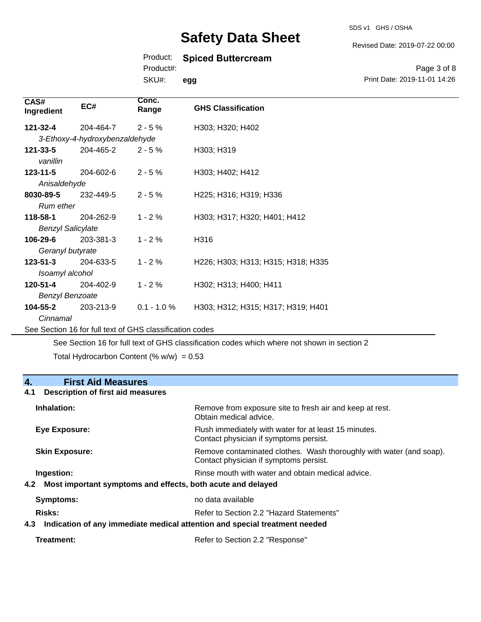### Product: **Spiced Buttercream**

Product#:

SKU#: **egg**

Page 3 of 8 Print Date: 2019-11-01 14:26

| CAS#<br>Ingredient       | EC#                            | Conc.<br>Range                                           | <b>GHS Classification</b>          |  |
|--------------------------|--------------------------------|----------------------------------------------------------|------------------------------------|--|
| 121-32-4                 | 204-464-7                      | $2 - 5%$                                                 | H303; H320; H402                   |  |
|                          | 3-Ethoxy-4-hydroxybenzaldehyde |                                                          |                                    |  |
| 121-33-5<br>vanillin     | 204-465-2                      | $2 - 5%$                                                 | H303; H319                         |  |
| $123 - 11 - 5$           | 204-602-6                      | $2 - 5%$                                                 | H303; H402; H412                   |  |
| Anisaldehyde             |                                |                                                          |                                    |  |
| 8030-89-5                | 232-449-5                      | $2 - 5%$                                                 | H225; H316; H319; H336             |  |
| Rum ether                |                                |                                                          |                                    |  |
| 118-58-1                 | 204-262-9                      | $1 - 2%$                                                 | H303; H317; H320; H401; H412       |  |
| <b>Benzyl Salicylate</b> |                                |                                                          |                                    |  |
| 106-29-6                 | 203-381-3                      | $1 - 2%$                                                 | H316                               |  |
| Geranyl butyrate         |                                |                                                          |                                    |  |
| $123 - 51 - 3$           | 204-633-5                      | $1 - 2%$                                                 | H226; H303; H313; H315; H318; H335 |  |
| Isoamyl alcohol          |                                |                                                          |                                    |  |
| 120-51-4                 | 204-402-9                      | $1 - 2%$                                                 | H302; H313; H400; H411             |  |
| <b>Benzyl Benzoate</b>   |                                |                                                          |                                    |  |
| 104-55-2                 | 203-213-9                      | $0.1 - 1.0 %$                                            | H303; H312; H315; H317; H319; H401 |  |
| Cinnamal                 |                                |                                                          |                                    |  |
|                          |                                | See Section 16 for full text of GHS classification codes |                                    |  |

See Section 16 for full text of GHS classification codes which where not shown in section 2

Total Hydrocarbon Content (%  $w/w$ ) = 0.53

## **4. First Aid Measures**

### **4.1 Description of first aid measures**

| Inhalation:           | Remove from exposure site to fresh air and keep at rest.<br>Obtain medical advice.                            |
|-----------------------|---------------------------------------------------------------------------------------------------------------|
| Eye Exposure:         | Flush immediately with water for at least 15 minutes.<br>Contact physician if symptoms persist.               |
| <b>Skin Exposure:</b> | Remove contaminated clothes. Wash thoroughly with water (and soap).<br>Contact physician if symptoms persist. |
| Ingestion:            | Rinse mouth with water and obtain medical advice.                                                             |
| 4.2                   | Most important symptoms and effects, both acute and delayed                                                   |
| Symptoms:             | no data available                                                                                             |
| Risks:                | Refer to Section 2.2 "Hazard Statements"                                                                      |
| 4.3                   | Indication of any immediate medical attention and special treatment needed                                    |

Revised Date: 2019-07-22 00:00

SDS v1 GHS / OSHA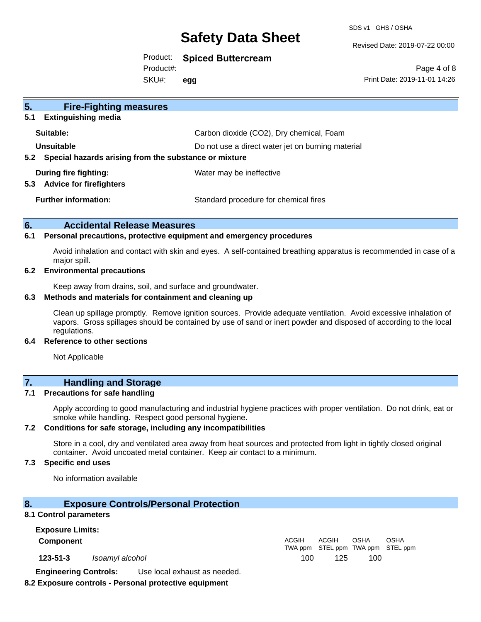SDS v1 GHS / OSHA

Revised Date: 2019-07-22 00:00

Product: **Spiced Buttercream**

Product#:

SKU#: **egg**

Page 4 of 8 Print Date: 2019-11-01 14:26

| 5 <sub>1</sub><br><b>Fire-Fighting measures</b><br><b>Extinguishing media</b><br>5.1 |                                                   |
|--------------------------------------------------------------------------------------|---------------------------------------------------|
| Suitable:                                                                            | Carbon dioxide (CO2), Dry chemical, Foam          |
| Unsuitable<br>Special hazards arising from the substance or mixture<br>$5.2^{\circ}$ | Do not use a direct water jet on burning material |
| During fire fighting:<br><b>Advice for firefighters</b><br>5.3                       | Water may be ineffective                          |
| <b>Further information:</b>                                                          | Standard procedure for chemical fires             |

### **6. Accidental Release Measures**

### **6.1 Personal precautions, protective equipment and emergency procedures**

Avoid inhalation and contact with skin and eyes. A self-contained breathing apparatus is recommended in case of a major spill.

### **6.2 Environmental precautions**

Keep away from drains, soil, and surface and groundwater.

#### **6.3 Methods and materials for containment and cleaning up**

Clean up spillage promptly. Remove ignition sources. Provide adequate ventilation. Avoid excessive inhalation of vapors. Gross spillages should be contained by use of sand or inert powder and disposed of according to the local regulations.

#### **6.4 Reference to other sections**

Not Applicable

## **7. Handling and Storage**

### **7.1 Precautions for safe handling**

Apply according to good manufacturing and industrial hygiene practices with proper ventilation. Do not drink, eat or smoke while handling. Respect good personal hygiene.

### **7.2 Conditions for safe storage, including any incompatibilities**

Store in a cool, dry and ventilated area away from heat sources and protected from light in tightly closed original container. Avoid uncoated metal container. Keep air contact to a minimum.

### **7.3 Specific end uses**

No information available

### **8. Exposure Controls/Personal Protection**

### **8.1 Control parameters**

**Exposure Limits: Component** ACGIH TWA ppm STEL ppm TWA ppm STEL ppm ACGIH OSHA OSHA **123-51-3** *Isoamyl alcohol* 100 125 100 **Engineering Controls:** Use local exhaust as needed.

### **8.2 Exposure controls - Personal protective equipment**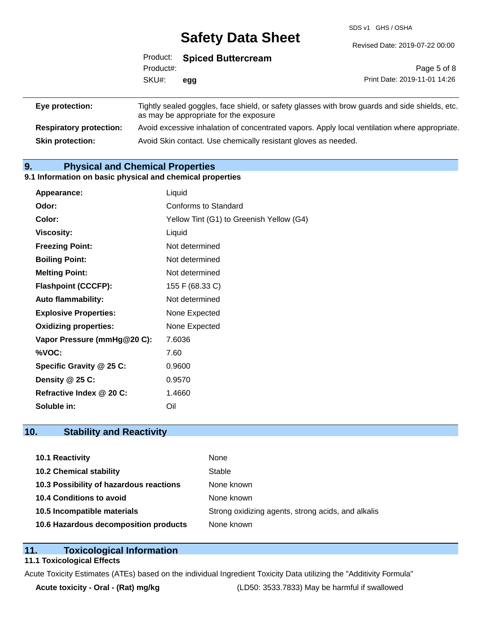SDS v1 GHS / OSHA

|                 |           | Product: Spiced Buttercream            |                                                                                                |
|-----------------|-----------|----------------------------------------|------------------------------------------------------------------------------------------------|
|                 | Product#: |                                        | Page 5 of 8                                                                                    |
|                 | SKU#:     | egg                                    | Print Date: 2019-11-01 14:26                                                                   |
| Eye protection: |           | as may be appropriate for the exposure | Tightly sealed goggles, face shield, or safety glasses with brow guards and side shields, etc. |

**Respiratory protection:** Avoid excessive inhalation of concentrated vapors. Apply local ventilation where appropriate. **Skin protection:** Avoid Skin contact. Use chemically resistant gloves as needed.

## **9. Physical and Chemical Properties**

### **9.1 Information on basic physical and chemical properties**

| Appearance:                  | Liquid                                   |
|------------------------------|------------------------------------------|
| Odor:                        | Conforms to Standard                     |
| Color:                       | Yellow Tint (G1) to Greenish Yellow (G4) |
| <b>Viscosity:</b>            | Liquid                                   |
| <b>Freezing Point:</b>       | Not determined                           |
| <b>Boiling Point:</b>        | Not determined                           |
| <b>Melting Point:</b>        | Not determined                           |
| <b>Flashpoint (CCCFP):</b>   | 155 F (68.33 C)                          |
| <b>Auto flammability:</b>    | Not determined                           |
| <b>Explosive Properties:</b> | None Expected                            |
| <b>Oxidizing properties:</b> | None Expected                            |
| Vapor Pressure (mmHg@20 C):  | 7.6036                                   |
| %VOC:                        | 7.60                                     |
| Specific Gravity @ 25 C:     | 0.9600                                   |
| Density @ 25 C:              | 0.9570                                   |
| Refractive Index @ 20 C:     | 1.4660                                   |
| Soluble in:                  | Oil                                      |

## **10. Stability and Reactivity**

| 10.1 Reactivity                         | None                                               |
|-----------------------------------------|----------------------------------------------------|
| <b>10.2 Chemical stability</b>          | Stable                                             |
| 10.3 Possibility of hazardous reactions | None known                                         |
| 10.4 Conditions to avoid                | None known                                         |
| 10.5 Incompatible materials             | Strong oxidizing agents, strong acids, and alkalis |
| 10.6 Hazardous decomposition products   | None known                                         |

### **11. Toxicological Information**

### **11.1 Toxicological Effects**

Acute Toxicity Estimates (ATEs) based on the individual Ingredient Toxicity Data utilizing the "Additivity Formula"

**Acute toxicity - Oral - (Rat) mg/kg** (LD50: 3533.7833) May be harmful if swallowed

Revised Date: 2019-07-22 00:00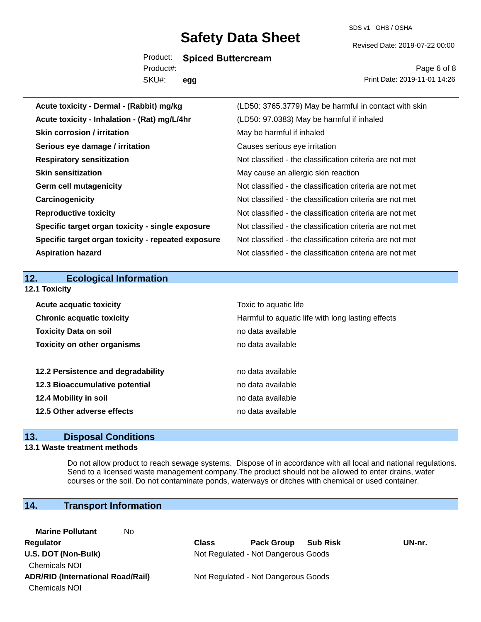SDS v1 GHS / OSHA

Revised Date: 2019-07-22 00:00

Product: **Spiced Buttercream**

SKU#: Product#: **egg**

Page 6 of 8 Print Date: 2019-11-01 14:26

| Acute toxicity - Dermal - (Rabbit) mg/kg           | (LD50: 3765.3779) May be harmful in contact with skin    |
|----------------------------------------------------|----------------------------------------------------------|
| Acute toxicity - Inhalation - (Rat) mg/L/4hr       | (LD50: 97.0383) May be harmful if inhaled                |
| Skin corrosion / irritation                        | May be harmful if inhaled                                |
| Serious eye damage / irritation                    | Causes serious eye irritation                            |
| <b>Respiratory sensitization</b>                   | Not classified - the classification criteria are not met |
| <b>Skin sensitization</b>                          | May cause an allergic skin reaction                      |
| <b>Germ cell mutagenicity</b>                      | Not classified - the classification criteria are not met |
| Carcinogenicity                                    | Not classified - the classification criteria are not met |
| <b>Reproductive toxicity</b>                       | Not classified - the classification criteria are not met |
| Specific target organ toxicity - single exposure   | Not classified - the classification criteria are not met |
| Specific target organ toxicity - repeated exposure | Not classified - the classification criteria are not met |
| <b>Aspiration hazard</b>                           | Not classified - the classification criteria are not met |
|                                                    |                                                          |
|                                                    |                                                          |
| 12.<br><b>Ecological Information</b>               |                                                          |
|                                                    |                                                          |
| 12.1 Toxicity<br><b>Acute acquatic toxicity</b>    | Toxic to aquatic life                                    |
| <b>Chronic acquatic toxicity</b>                   | Harmful to aquatic life with long lasting effects        |
| <b>Toxicity Data on soil</b>                       | no data available                                        |
| <b>Toxicity on other organisms</b>                 | no data available                                        |
|                                                    |                                                          |
| 12.2 Persistence and degradability                 | no data available                                        |
| 12.3 Bioaccumulative potential                     | no data available                                        |
| 12.4 Mobility in soil                              | no data available                                        |
| 12.5 Other adverse effects                         | no data available                                        |

### **13. Disposal Conditions**

### **13.1 Waste treatment methods**

Do not allow product to reach sewage systems. Dispose of in accordance with all local and national regulations. Send to a licensed waste management company.The product should not be allowed to enter drains, water courses or the soil. Do not contaminate ponds, waterways or ditches with chemical or used container.

## **14. Transport Information**

**Marine Pollutant** No Chemicals NOI Chemicals NOI

**Regulator Class Pack Group Sub Risk UN-nr. U.S. DOT (Non-Bulk)** Not Regulated - Not Dangerous Goods

**ADR/RID (International Road/Rail)** Not Regulated - Not Dangerous Goods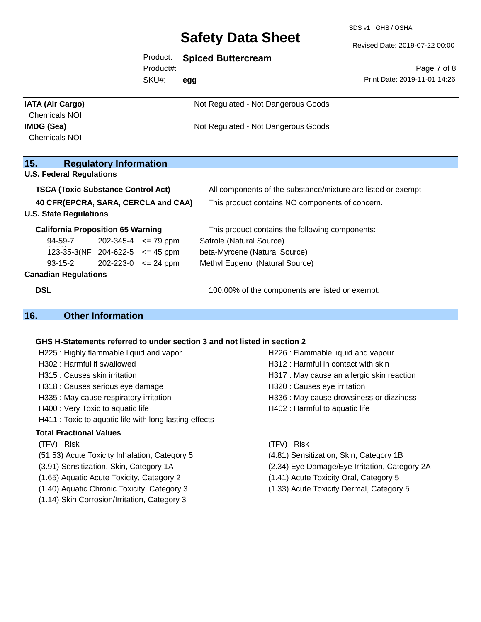Product: **Spiced Buttercream**

SDS v1 GHS / OSHA

Revised Date: 2019-07-22 00:00

|                                                                      |                               | <b>FIUUUCL.</b><br>Product#: | Spiced Buttercream                              | Page 7 of 8                                                  |
|----------------------------------------------------------------------|-------------------------------|------------------------------|-------------------------------------------------|--------------------------------------------------------------|
|                                                                      |                               | SKU#:                        | egg                                             | Print Date: 2019-11-01 14:26                                 |
| <b>IATA (Air Cargo)</b><br><b>Chemicals NOI</b>                      |                               |                              | Not Regulated - Not Dangerous Goods             |                                                              |
| <b>IMDG (Sea)</b><br><b>Chemicals NOI</b>                            |                               |                              | Not Regulated - Not Dangerous Goods             |                                                              |
| 15.                                                                  | <b>Regulatory Information</b> |                              |                                                 |                                                              |
| <b>U.S. Federal Regulations</b>                                      |                               |                              |                                                 |                                                              |
| <b>TSCA (Toxic Substance Control Act)</b>                            |                               |                              |                                                 | All components of the substance/mixture are listed or exempt |
| 40 CFR(EPCRA, SARA, CERCLA and CAA)<br><b>U.S. State Regulations</b> |                               |                              | This product contains NO components of concern. |                                                              |
| <b>California Proposition 65 Warning</b>                             |                               |                              | This product contains the following components: |                                                              |
| 94-59-7                                                              | $202 - 345 - 4 \le 79$ ppm    |                              | Safrole (Natural Source)                        |                                                              |
| 123-35-3(NF 204-622-5 $\leq$ 45 ppm                                  |                               |                              | beta-Myrcene (Natural Source)                   |                                                              |
| $93-15-2$                                                            | $202 - 223 - 0 \le 24$ ppm    |                              | Methyl Eugenol (Natural Source)                 |                                                              |
| <b>Canadian Regulations</b>                                          |                               |                              |                                                 |                                                              |
| <b>DSL</b>                                                           |                               |                              | 100.00% of the components are listed or exempt. |                                                              |
| 16.                                                                  | <b>Other Information</b>      |                              |                                                 |                                                              |

## **GHS H-Statements referred to under section 3 and not listed in section 2**

| H225: Highly flammable liquid and vapor                | H226 : Flammable liquid and vapour         |
|--------------------------------------------------------|--------------------------------------------|
| H302: Harmful if swallowed                             | H312 : Harmful in contact with skin        |
| H315 : Causes skin irritation                          | H317 : May cause an allergic skin reaction |
| H318 : Causes serious eye damage                       | H320 : Causes eye irritation               |
| H335 : May cause respiratory irritation                | H336 : May cause drowsiness or dizziness   |
| H400 : Very Toxic to aquatic life                      | H402 : Harmful to aquatic life             |
| H411 : Toxic to aquatic life with long lasting effects |                                            |
| <b>Total Fractional Values</b>                         |                                            |
| (TFV) Risk                                             | Risk                                       |

- 
- 
- 
- 
- 
- (1.14) Skin Corrosion/Irritation, Category 3
- 
- (51.53) Acute Toxicity Inhalation, Category 5 (4.81) Sensitization, Skin, Category 1B
- (3.91) Sensitization, Skin, Category 1A (2.34) Eye Damage/Eye Irritation, Category 2A
- (1.65) Aquatic Acute Toxicity, Category 2 (1.41) Acute Toxicity Oral, Category 5
- (1.40) Aquatic Chronic Toxicity, Category 3 (1.33) Acute Toxicity Dermal, Category 5